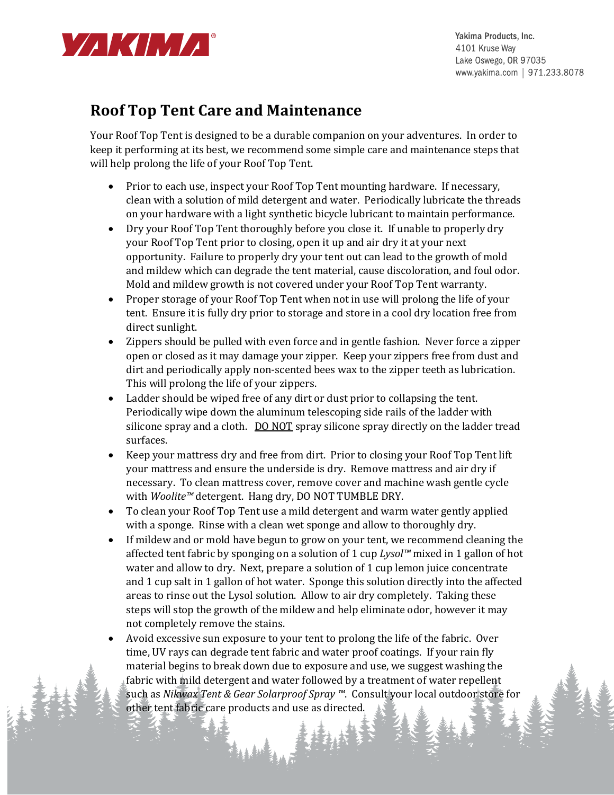

Yakima Products, Inc. 4101 Kruse Way Lake Oswego, OR 97035 www.yakima.com | 971.233.8078

## **Roof Top Tent Care and Maintenance**

Your Roof Top Tent is designed to be a durable companion on your adventures. In order to keep it performing at its best, we recommend some simple care and maintenance steps that will help prolong the life of your Roof Top Tent.

- Prior to each use, inspect your Roof Top Tent mounting hardware. If necessary, clean with a solution of mild detergent and water. Periodically lubricate the threads on your hardware with a light synthetic bicycle lubricant to maintain performance.
- Dry your Roof Top Tent thoroughly before you close it. If unable to properly dry your Roof Top Tent prior to closing, open it up and air dry it at your next opportunity. Failure to properly dry your tent out can lead to the growth of mold and mildew which can degrade the tent material, cause discoloration, and foul odor. Mold and mildew growth is not covered under your Roof Top Tent warranty.
- Proper storage of your Roof Top Tent when not in use will prolong the life of your tent. Ensure it is fully dry prior to storage and store in a cool dry location free from direct sunlight.
- Zippers should be pulled with even force and in gentle fashion. Never force a zipper open or closed as it may damage your zipper. Keep your zippers free from dust and dirt and periodically apply non-scented bees wax to the zipper teeth as lubrication. This will prolong the life of your zippers.
- Ladder should be wiped free of any dirt or dust prior to collapsing the tent. Periodically wipe down the aluminum telescoping side rails of the ladder with silicone spray and a cloth. DO NOT spray silicone spray directly on the ladder tread surfaces.
- Keep your mattress dry and free from dirt. Prior to closing your Roof Top Tent lift your mattress and ensure the underside is dry. Remove mattress and air dry if necessary. To clean mattress cover, remove cover and machine wash gentle cycle with *Woolite™* detergent. Hang dry, DO NOT TUMBLE DRY.
- To clean your Roof Top Tent use a mild detergent and warm water gently applied with a sponge. Rinse with a clean wet sponge and allow to thoroughly dry.
- If mildew and or mold have begun to grow on your tent, we recommend cleaning the affected tent fabric by sponging on a solution of 1 cup *Lysol™* mixed in 1 gallon of hot water and allow to dry. Next, prepare a solution of 1 cup lemon juice concentrate and 1 cup salt in 1 gallon of hot water. Sponge this solution directly into the affected areas to rinse out the Lysol solution. Allow to air dry completely. Taking these steps will stop the growth of the mildew and help eliminate odor, however it may not completely remove the stains.
- Avoid excessive sun exposure to your tent to prolong the life of the fabric. Over time, UV rays can degrade tent fabric and water proof coatings. If your rain fly material begins to break down due to exposure and use, we suggest washing the fabric with mild detergent and water followed by a treatment of water repellent such as *Nikwax Tent & Gear Solarproof Spray ™*. Consult your local outdoor store for other tent fabric care products and use as directed.

**第12章**